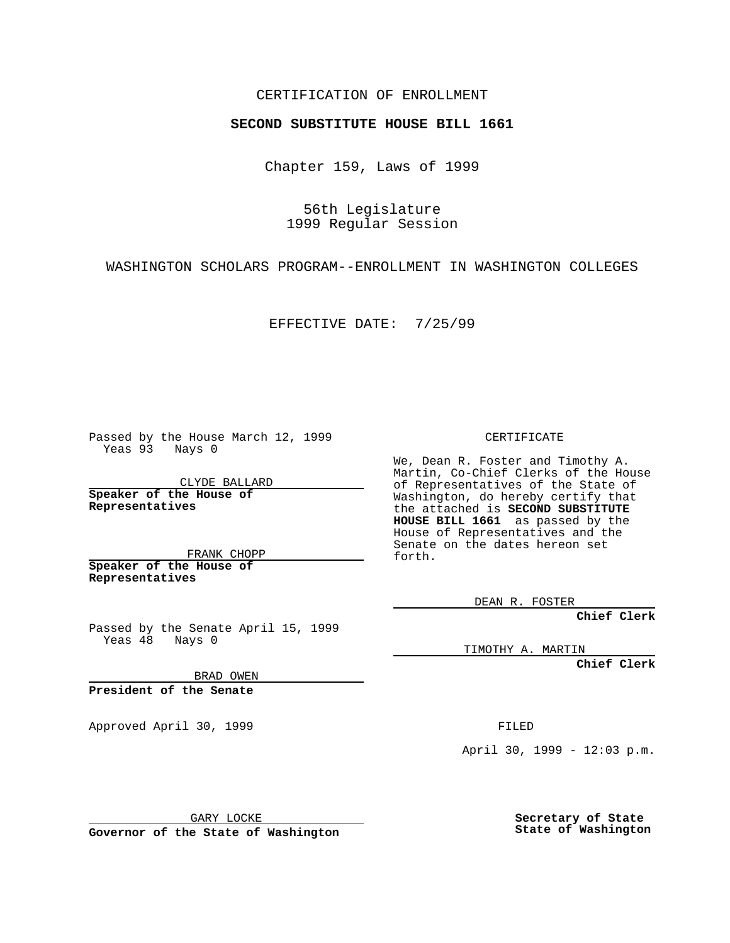## CERTIFICATION OF ENROLLMENT

## **SECOND SUBSTITUTE HOUSE BILL 1661**

Chapter 159, Laws of 1999

56th Legislature 1999 Regular Session

WASHINGTON SCHOLARS PROGRAM--ENROLLMENT IN WASHINGTON COLLEGES

EFFECTIVE DATE: 7/25/99

Passed by the House March 12, 1999 Yeas 93 Nays 0

CLYDE BALLARD **Speaker of the House of Representatives**

FRANK CHOPP **Speaker of the House of Representatives**

Passed by the Senate April 15, 1999 Yeas 48 Nays 0

BRAD OWEN

**President of the Senate**

Approved April 30, 1999 **FILED** 

CERTIFICATE

We, Dean R. Foster and Timothy A. Martin, Co-Chief Clerks of the House of Representatives of the State of Washington, do hereby certify that the attached is **SECOND SUBSTITUTE HOUSE BILL 1661** as passed by the House of Representatives and the Senate on the dates hereon set forth.

DEAN R. FOSTER

**Chief Clerk**

TIMOTHY A. MARTIN

**Chief Clerk**

April 30, 1999 - 12:03 p.m.

GARY LOCKE

**Governor of the State of Washington**

**Secretary of State State of Washington**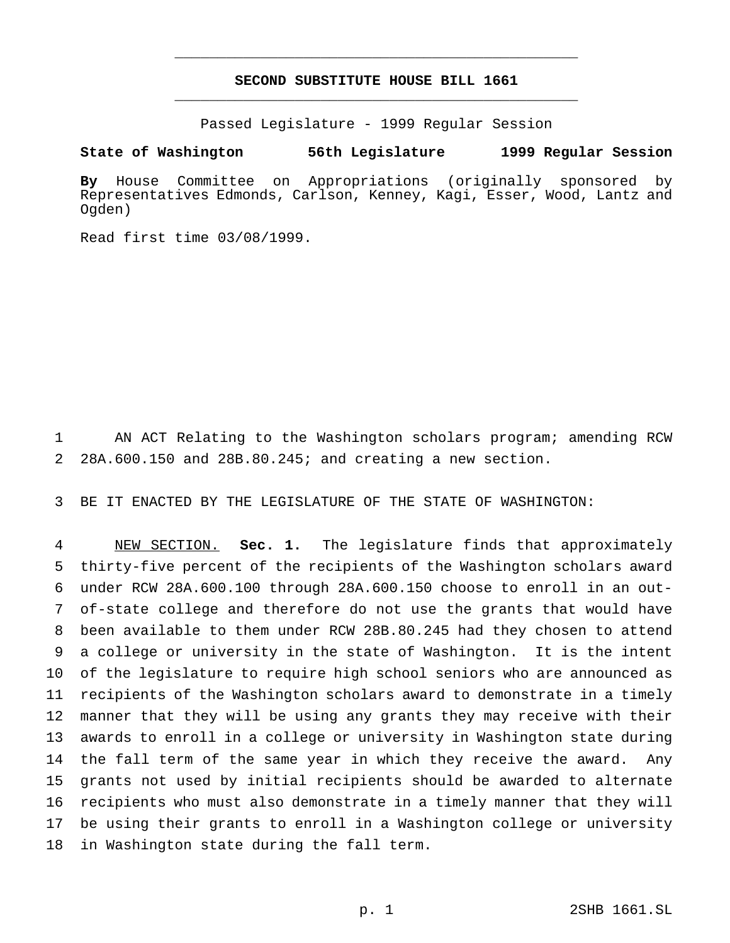## **SECOND SUBSTITUTE HOUSE BILL 1661** \_\_\_\_\_\_\_\_\_\_\_\_\_\_\_\_\_\_\_\_\_\_\_\_\_\_\_\_\_\_\_\_\_\_\_\_\_\_\_\_\_\_\_\_\_\_\_

\_\_\_\_\_\_\_\_\_\_\_\_\_\_\_\_\_\_\_\_\_\_\_\_\_\_\_\_\_\_\_\_\_\_\_\_\_\_\_\_\_\_\_\_\_\_\_

Passed Legislature - 1999 Regular Session

## **State of Washington 56th Legislature 1999 Regular Session**

**By** House Committee on Appropriations (originally sponsored by Representatives Edmonds, Carlson, Kenney, Kagi, Esser, Wood, Lantz and Ogden)

Read first time 03/08/1999.

 AN ACT Relating to the Washington scholars program; amending RCW 28A.600.150 and 28B.80.245; and creating a new section.

BE IT ENACTED BY THE LEGISLATURE OF THE STATE OF WASHINGTON:

 NEW SECTION. **Sec. 1.** The legislature finds that approximately thirty-five percent of the recipients of the Washington scholars award under RCW 28A.600.100 through 28A.600.150 choose to enroll in an out- of-state college and therefore do not use the grants that would have been available to them under RCW 28B.80.245 had they chosen to attend a college or university in the state of Washington. It is the intent of the legislature to require high school seniors who are announced as recipients of the Washington scholars award to demonstrate in a timely manner that they will be using any grants they may receive with their awards to enroll in a college or university in Washington state during 14 the fall term of the same year in which they receive the award. Any grants not used by initial recipients should be awarded to alternate recipients who must also demonstrate in a timely manner that they will be using their grants to enroll in a Washington college or university in Washington state during the fall term.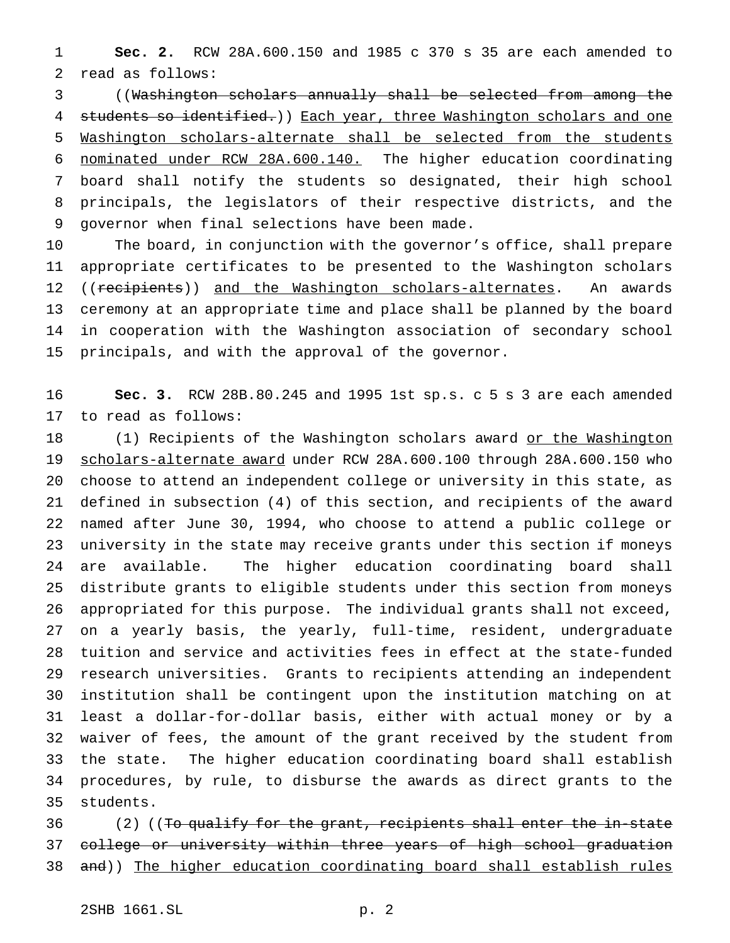**Sec. 2.** RCW 28A.600.150 and 1985 c 370 s 35 are each amended to read as follows:

 ((Washington scholars annually shall be selected from among the 4 students so identified.) Each year, three Washington scholars and one Washington scholars-alternate shall be selected from the students nominated under RCW 28A.600.140. The higher education coordinating board shall notify the students so designated, their high school principals, the legislators of their respective districts, and the governor when final selections have been made.

 The board, in conjunction with the governor's office, shall prepare appropriate certificates to be presented to the Washington scholars 12 ((recipients)) and the Washington scholars-alternates. An awards ceremony at an appropriate time and place shall be planned by the board in cooperation with the Washington association of secondary school principals, and with the approval of the governor.

 **Sec. 3.** RCW 28B.80.245 and 1995 1st sp.s. c 5 s 3 are each amended to read as follows:

18 (1) Recipients of the Washington scholars award or the Washington scholars-alternate award under RCW 28A.600.100 through 28A.600.150 who choose to attend an independent college or university in this state, as defined in subsection (4) of this section, and recipients of the award named after June 30, 1994, who choose to attend a public college or university in the state may receive grants under this section if moneys are available. The higher education coordinating board shall distribute grants to eligible students under this section from moneys appropriated for this purpose. The individual grants shall not exceed, on a yearly basis, the yearly, full-time, resident, undergraduate tuition and service and activities fees in effect at the state-funded research universities. Grants to recipients attending an independent institution shall be contingent upon the institution matching on at least a dollar-for-dollar basis, either with actual money or by a waiver of fees, the amount of the grant received by the student from the state. The higher education coordinating board shall establish procedures, by rule, to disburse the awards as direct grants to the students.

 (2) ((To qualify for the grant, recipients shall enter the in-state 37 college or university within three years of high school graduation 38 and)) The higher education coordinating board shall establish rules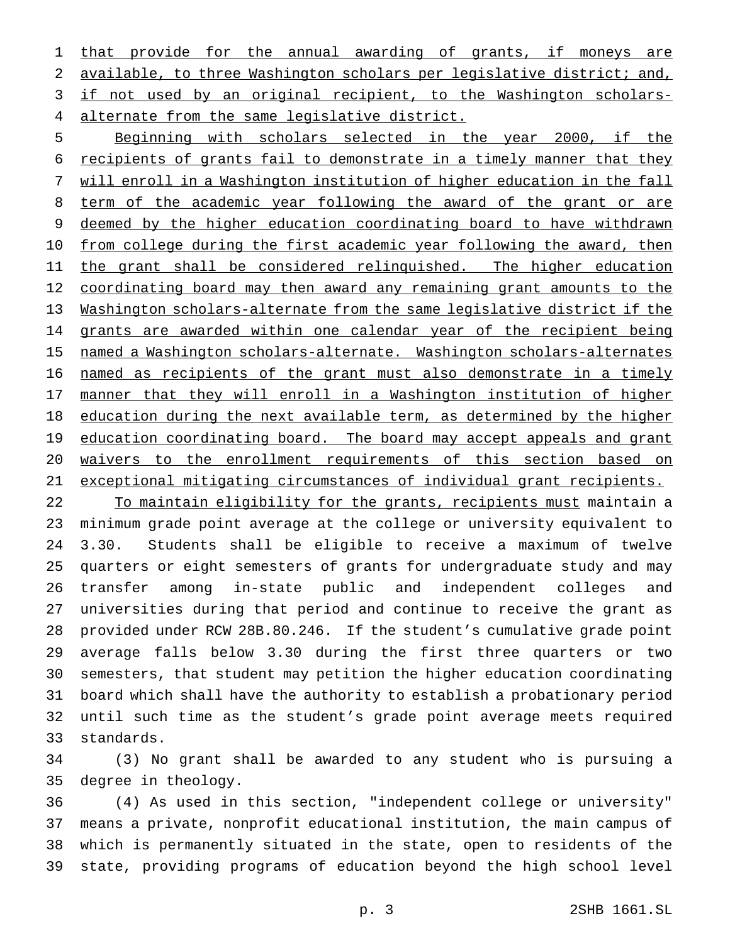1 that provide for the annual awarding of grants, if moneys are 2 available, to three Washington scholars per legislative district; and, if not used by an original recipient, to the Washington scholars-alternate from the same legislative district.

 Beginning with scholars selected in the year 2000, if the recipients of grants fail to demonstrate in a timely manner that they will enroll in a Washington institution of higher education in the fall 8 term of the academic year following the award of the grant or are deemed by the higher education coordinating board to have withdrawn 10 from college during the first academic year following the award, then 11 the grant shall be considered relinquished. The higher education 12 coordinating board may then award any remaining grant amounts to the Washington scholars-alternate from the same legislative district if the 14 grants are awarded within one calendar year of the recipient being named a Washington scholars-alternate. Washington scholars-alternates named as recipients of the grant must also demonstrate in a timely manner that they will enroll in a Washington institution of higher 18 education during the next available term, as determined by the higher 19 education coordinating board. The board may accept appeals and grant waivers to the enrollment requirements of this section based on exceptional mitigating circumstances of individual grant recipients.

22 To maintain eligibility for the grants, recipients must maintain a minimum grade point average at the college or university equivalent to 3.30. Students shall be eligible to receive a maximum of twelve quarters or eight semesters of grants for undergraduate study and may transfer among in-state public and independent colleges and universities during that period and continue to receive the grant as provided under RCW 28B.80.246. If the student's cumulative grade point average falls below 3.30 during the first three quarters or two semesters, that student may petition the higher education coordinating board which shall have the authority to establish a probationary period until such time as the student's grade point average meets required standards.

 (3) No grant shall be awarded to any student who is pursuing a degree in theology.

 (4) As used in this section, "independent college or university" means a private, nonprofit educational institution, the main campus of which is permanently situated in the state, open to residents of the state, providing programs of education beyond the high school level